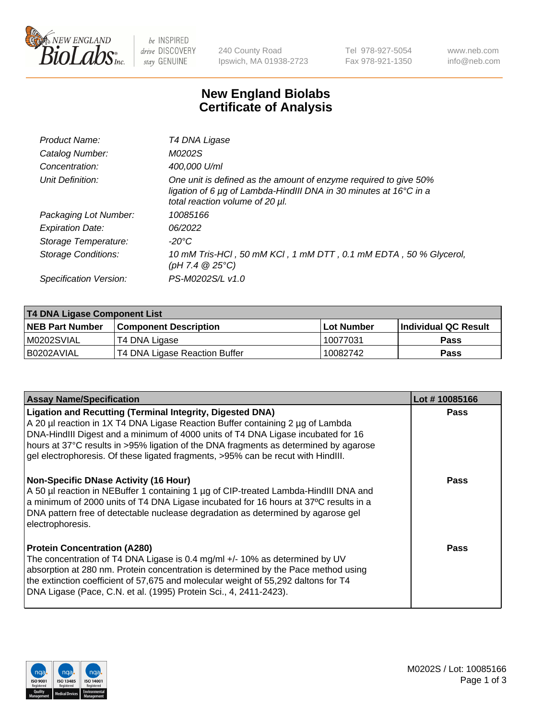

be INSPIRED drive DISCOVERY stay GENUINE

240 County Road Ipswich, MA 01938-2723 Tel 978-927-5054 Fax 978-921-1350 www.neb.com info@neb.com

## **New England Biolabs Certificate of Analysis**

| Product Name:              | T4 DNA Ligase                                                                                                                                                            |
|----------------------------|--------------------------------------------------------------------------------------------------------------------------------------------------------------------------|
| Catalog Number:            | M0202S                                                                                                                                                                   |
| Concentration:             | 400,000 U/ml                                                                                                                                                             |
| Unit Definition:           | One unit is defined as the amount of enzyme required to give 50%<br>ligation of 6 µg of Lambda-HindIII DNA in 30 minutes at 16°C in a<br>total reaction volume of 20 µl. |
| Packaging Lot Number:      | 10085166                                                                                                                                                                 |
| <b>Expiration Date:</b>    | 06/2022                                                                                                                                                                  |
| Storage Temperature:       | $-20^{\circ}$ C                                                                                                                                                          |
| <b>Storage Conditions:</b> | 10 mM Tris-HCl, 50 mM KCl, 1 mM DTT, 0.1 mM EDTA, 50 % Glycerol,<br>(pH 7.4 $@25°C$ )                                                                                    |
| Specification Version:     | PS-M0202S/L v1.0                                                                                                                                                         |

| T4 DNA Ligase Component List |                               |            |                             |  |
|------------------------------|-------------------------------|------------|-----------------------------|--|
| <b>NEB Part Number</b>       | <b>Component Description</b>  | Lot Number | <b>Individual QC Result</b> |  |
| M0202SVIAL                   | T4 DNA Ligase                 | 10077031   | Pass                        |  |
| I B0202AVIAL                 | T4 DNA Ligase Reaction Buffer | 10082742   | <b>Pass</b>                 |  |

| <b>Assay Name/Specification</b>                                                                                                                                                                                                                                                                                                                                                                                    | Lot #10085166 |
|--------------------------------------------------------------------------------------------------------------------------------------------------------------------------------------------------------------------------------------------------------------------------------------------------------------------------------------------------------------------------------------------------------------------|---------------|
| <b>Ligation and Recutting (Terminal Integrity, Digested DNA)</b><br>A 20 µl reaction in 1X T4 DNA Ligase Reaction Buffer containing 2 µg of Lambda<br>DNA-HindIII Digest and a minimum of 4000 units of T4 DNA Ligase incubated for 16<br>hours at 37°C results in >95% ligation of the DNA fragments as determined by agarose<br>gel electrophoresis. Of these ligated fragments, >95% can be recut with HindIII. | <b>Pass</b>   |
| <b>Non-Specific DNase Activity (16 Hour)</b><br>A 50 µl reaction in NEBuffer 1 containing 1 µg of CIP-treated Lambda-HindIII DNA and<br>a minimum of 2000 units of T4 DNA Ligase incubated for 16 hours at 37°C results in a<br>DNA pattern free of detectable nuclease degradation as determined by agarose gel<br>electrophoresis.                                                                               | <b>Pass</b>   |
| <b>Protein Concentration (A280)</b><br>The concentration of T4 DNA Ligase is 0.4 mg/ml +/- 10% as determined by UV<br>absorption at 280 nm. Protein concentration is determined by the Pace method using<br>the extinction coefficient of 57,675 and molecular weight of 55,292 daltons for T4<br>DNA Ligase (Pace, C.N. et al. (1995) Protein Sci., 4, 2411-2423).                                                | Pass          |

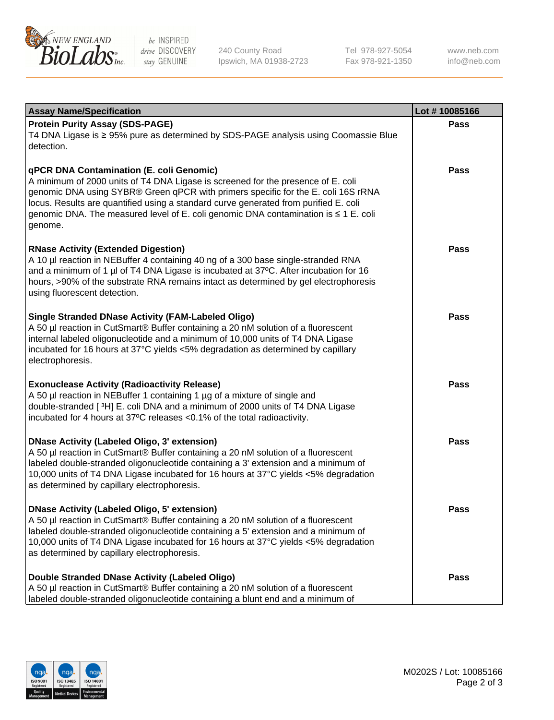

be INSPIRED drive DISCOVERY stay GENUINE

240 County Road Ipswich, MA 01938-2723 Tel 978-927-5054 Fax 978-921-1350 www.neb.com info@neb.com

| <b>Assay Name/Specification</b>                                                                                                                                                                                                                                                                                                                                                                             | Lot #10085166 |
|-------------------------------------------------------------------------------------------------------------------------------------------------------------------------------------------------------------------------------------------------------------------------------------------------------------------------------------------------------------------------------------------------------------|---------------|
| <b>Protein Purity Assay (SDS-PAGE)</b><br>T4 DNA Ligase is ≥ 95% pure as determined by SDS-PAGE analysis using Coomassie Blue<br>detection.                                                                                                                                                                                                                                                                 | <b>Pass</b>   |
| qPCR DNA Contamination (E. coli Genomic)<br>A minimum of 2000 units of T4 DNA Ligase is screened for the presence of E. coli<br>genomic DNA using SYBR® Green qPCR with primers specific for the E. coli 16S rRNA<br>locus. Results are quantified using a standard curve generated from purified E. coli<br>genomic DNA. The measured level of E. coli genomic DNA contamination is ≤ 1 E. coli<br>genome. | <b>Pass</b>   |
| <b>RNase Activity (Extended Digestion)</b><br>A 10 µl reaction in NEBuffer 4 containing 40 ng of a 300 base single-stranded RNA<br>and a minimum of 1 µl of T4 DNA Ligase is incubated at 37°C. After incubation for 16<br>hours, >90% of the substrate RNA remains intact as determined by gel electrophoresis<br>using fluorescent detection.                                                             | <b>Pass</b>   |
| <b>Single Stranded DNase Activity (FAM-Labeled Oligo)</b><br>A 50 µl reaction in CutSmart® Buffer containing a 20 nM solution of a fluorescent<br>internal labeled oligonucleotide and a minimum of 10,000 units of T4 DNA Ligase<br>incubated for 16 hours at 37°C yields <5% degradation as determined by capillary<br>electrophoresis.                                                                   | <b>Pass</b>   |
| <b>Exonuclease Activity (Radioactivity Release)</b><br>A 50 µl reaction in NEBuffer 1 containing 1 µg of a mixture of single and<br>double-stranded [3H] E. coli DNA and a minimum of 2000 units of T4 DNA Ligase<br>incubated for 4 hours at 37°C releases <0.1% of the total radioactivity.                                                                                                               | <b>Pass</b>   |
| <b>DNase Activity (Labeled Oligo, 3' extension)</b><br>A 50 µl reaction in CutSmart® Buffer containing a 20 nM solution of a fluorescent<br>labeled double-stranded oligonucleotide containing a 3' extension and a minimum of<br>10,000 units of T4 DNA Ligase incubated for 16 hours at 37°C yields <5% degradation<br>as determined by capillary electrophoresis.                                        | <b>Pass</b>   |
| <b>DNase Activity (Labeled Oligo, 5' extension)</b><br>A 50 µl reaction in CutSmart® Buffer containing a 20 nM solution of a fluorescent<br>labeled double-stranded oligonucleotide containing a 5' extension and a minimum of<br>10,000 units of T4 DNA Ligase incubated for 16 hours at 37°C yields <5% degradation<br>as determined by capillary electrophoresis.                                        | <b>Pass</b>   |
| Double Stranded DNase Activity (Labeled Oligo)<br>A 50 µl reaction in CutSmart® Buffer containing a 20 nM solution of a fluorescent<br>labeled double-stranded oligonucleotide containing a blunt end and a minimum of                                                                                                                                                                                      | <b>Pass</b>   |